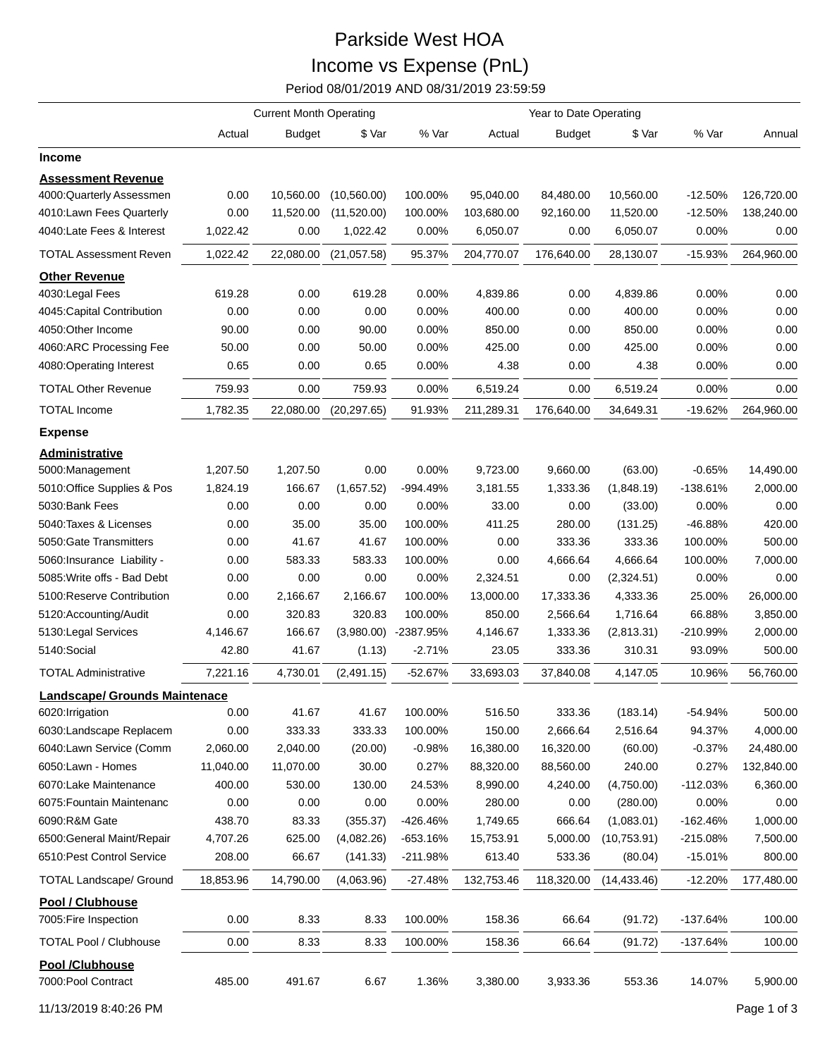## Parkside West HOA Income vs Expense (PnL)

Period 08/01/2019 AND 08/31/2019 23:59:59

|                                           | <b>Current Month Operating</b> |               |              |           |            |               |              |            |            |
|-------------------------------------------|--------------------------------|---------------|--------------|-----------|------------|---------------|--------------|------------|------------|
|                                           | Actual                         | <b>Budget</b> | \$ Var       | % Var     | Actual     | <b>Budget</b> | \$ Var       | % Var      | Annual     |
| <b>Income</b>                             |                                |               |              |           |            |               |              |            |            |
| <b>Assessment Revenue</b>                 |                                |               |              |           |            |               |              |            |            |
| 4000:Quarterly Assessmen                  | 0.00                           | 10,560.00     | (10, 560.00) | 100.00%   | 95,040.00  | 84,480.00     | 10,560.00    | $-12.50%$  | 126,720.00 |
| 4010:Lawn Fees Quarterly                  | 0.00                           | 11,520.00     | (11,520.00)  | 100.00%   | 103,680.00 | 92,160.00     | 11,520.00    | $-12.50%$  | 138,240.00 |
| 4040:Late Fees & Interest                 | 1,022.42                       | 0.00          | 1,022.42     | 0.00%     | 6,050.07   | 0.00          | 6,050.07     | 0.00%      | 0.00       |
| <b>TOTAL Assessment Reven</b>             | 1,022.42                       | 22,080.00     | (21,057.58)  | 95.37%    | 204,770.07 | 176,640.00    | 28,130.07    | $-15.93%$  | 264,960.00 |
| <b>Other Revenue</b>                      |                                |               |              |           |            |               |              |            |            |
| 4030: Legal Fees                          | 619.28                         | 0.00          | 619.28       | 0.00%     | 4,839.86   | 0.00          | 4,839.86     | 0.00%      | 0.00       |
| 4045: Capital Contribution                | 0.00                           | 0.00          | 0.00         | 0.00%     | 400.00     | 0.00          | 400.00       | 0.00%      | 0.00       |
| 4050:Other Income                         | 90.00                          | 0.00          | 90.00        | 0.00%     | 850.00     | 0.00          | 850.00       | 0.00%      | 0.00       |
| 4060:ARC Processing Fee                   | 50.00                          | 0.00          | 50.00        | 0.00%     | 425.00     | 0.00          | 425.00       | 0.00%      | 0.00       |
| 4080:Operating Interest                   | 0.65                           | 0.00          | 0.65         | 0.00%     | 4.38       | 0.00          | 4.38         | 0.00%      | 0.00       |
| <b>TOTAL Other Revenue</b>                | 759.93                         | 0.00          | 759.93       | 0.00%     | 6,519.24   | 0.00          | 6,519.24     | 0.00%      | 0.00       |
| <b>TOTAL Income</b>                       | 1,782.35                       | 22,080.00     | (20, 297.65) | 91.93%    | 211,289.31 | 176,640.00    | 34,649.31    | $-19.62%$  | 264,960.00 |
| <b>Expense</b>                            |                                |               |              |           |            |               |              |            |            |
| <b>Administrative</b>                     |                                |               |              |           |            |               |              |            |            |
| 5000:Management                           | 1,207.50                       | 1,207.50      | 0.00         | 0.00%     | 9,723.00   | 9,660.00      | (63.00)      | $-0.65%$   | 14,490.00  |
| 5010:Office Supplies & Pos                | 1,824.19                       | 166.67        | (1,657.52)   | -994.49%  | 3,181.55   | 1,333.36      | (1,848.19)   | -138.61%   | 2,000.00   |
| 5030:Bank Fees                            | 0.00                           | 0.00          | 0.00         | 0.00%     | 33.00      | 0.00          | (33.00)      | 0.00%      | 0.00       |
| 5040: Taxes & Licenses                    | 0.00                           | 35.00         | 35.00        | 100.00%   | 411.25     | 280.00        | (131.25)     | -46.88%    | 420.00     |
| 5050: Gate Transmitters                   | 0.00                           | 41.67         | 41.67        | 100.00%   | 0.00       | 333.36        | 333.36       | 100.00%    | 500.00     |
| 5060: Insurance Liability -               | 0.00                           | 583.33        | 583.33       | 100.00%   | 0.00       | 4,666.64      | 4,666.64     | 100.00%    | 7,000.00   |
| 5085: Write offs - Bad Debt               | 0.00                           | 0.00          | 0.00         | 0.00%     | 2,324.51   | 0.00          | (2,324.51)   | 0.00%      | 0.00       |
| 5100:Reserve Contribution                 | 0.00                           | 2,166.67      | 2,166.67     | 100.00%   | 13,000.00  | 17,333.36     | 4,333.36     | 25.00%     | 26,000.00  |
| 5120:Accounting/Audit                     | 0.00                           | 320.83        | 320.83       | 100.00%   | 850.00     | 2,566.64      | 1,716.64     | 66.88%     | 3,850.00   |
| 5130: Legal Services                      | 4,146.67                       | 166.67        | (3,980.00)   | -2387.95% | 4,146.67   | 1,333.36      | (2,813.31)   | -210.99%   | 2,000.00   |
| 5140:Social                               | 42.80                          | 41.67         | (1.13)       | $-2.71%$  | 23.05      | 333.36        | 310.31       | 93.09%     | 500.00     |
| <b>TOTAL Administrative</b>               | 7,221.16                       | 4,730.01      | (2,491.15)   | $-52.67%$ | 33,693.03  | 37,840.08     | 4,147.05     | 10.96%     | 56,760.00  |
| Landscape/ Grounds Maintenace             |                                |               |              |           |            |               |              |            |            |
| 6020: Irrigation                          | 0.00                           | 41.67         | 41.67        | 100.00%   | 516.50     | 333.36        | (183.14)     | $-54.94%$  | 500.00     |
| 6030:Landscape Replacem                   | 0.00                           | 333.33        | 333.33       | 100.00%   | 150.00     | 2,666.64      | 2,516.64     | 94.37%     | 4,000.00   |
| 6040:Lawn Service (Comm                   | 2,060.00                       | 2,040.00      | (20.00)      | $-0.98%$  | 16,380.00  | 16,320.00     | (60.00)      | $-0.37%$   | 24,480.00  |
| 6050:Lawn - Homes                         | 11,040.00                      | 11,070.00     | 30.00        | 0.27%     | 88,320.00  | 88,560.00     | 240.00       | 0.27%      | 132,840.00 |
| 6070:Lake Maintenance                     | 400.00                         | 530.00        | 130.00       | 24.53%    | 8,990.00   | 4,240.00      | (4,750.00)   | $-112.03%$ | 6,360.00   |
| 6075: Fountain Maintenanc                 | 0.00                           | 0.00          | 0.00         | 0.00%     | 280.00     | 0.00          | (280.00)     | 0.00%      | 0.00       |
| 6090:R&M Gate                             | 438.70                         | 83.33         | (355.37)     | -426.46%  | 1,749.65   | 666.64        | (1,083.01)   | -162.46%   | 1,000.00   |
| 6500: General Maint/Repair                | 4,707.26                       | 625.00        | (4,082.26)   | -653.16%  | 15,753.91  | 5,000.00      | (10,753.91)  | $-215.08%$ | 7,500.00   |
| 6510: Pest Control Service                | 208.00                         | 66.67         | (141.33)     | -211.98%  | 613.40     | 533.36        | (80.04)      | $-15.01%$  | 800.00     |
| <b>TOTAL Landscape/ Ground</b>            | 18,853.96                      | 14,790.00     | (4,063.96)   | -27.48%   | 132,753.46 | 118,320.00    | (14, 433.46) | $-12.20%$  | 177,480.00 |
| Pool / Clubhouse<br>7005: Fire Inspection | 0.00                           | 8.33          | 8.33         | 100.00%   | 158.36     | 66.64         | (91.72)      | $-137.64%$ | 100.00     |
| <b>TOTAL Pool / Clubhouse</b>             | 0.00                           | 8.33          | 8.33         | 100.00%   | 158.36     | 66.64         | (91.72)      | -137.64%   | 100.00     |
| Pool /Clubhouse<br>7000:Pool Contract     | 485.00                         | 491.67        | 6.67         | 1.36%     | 3,380.00   | 3,933.36      | 553.36       | 14.07%     | 5,900.00   |

11/13/2019 8:40:26 PM Page 1 of 3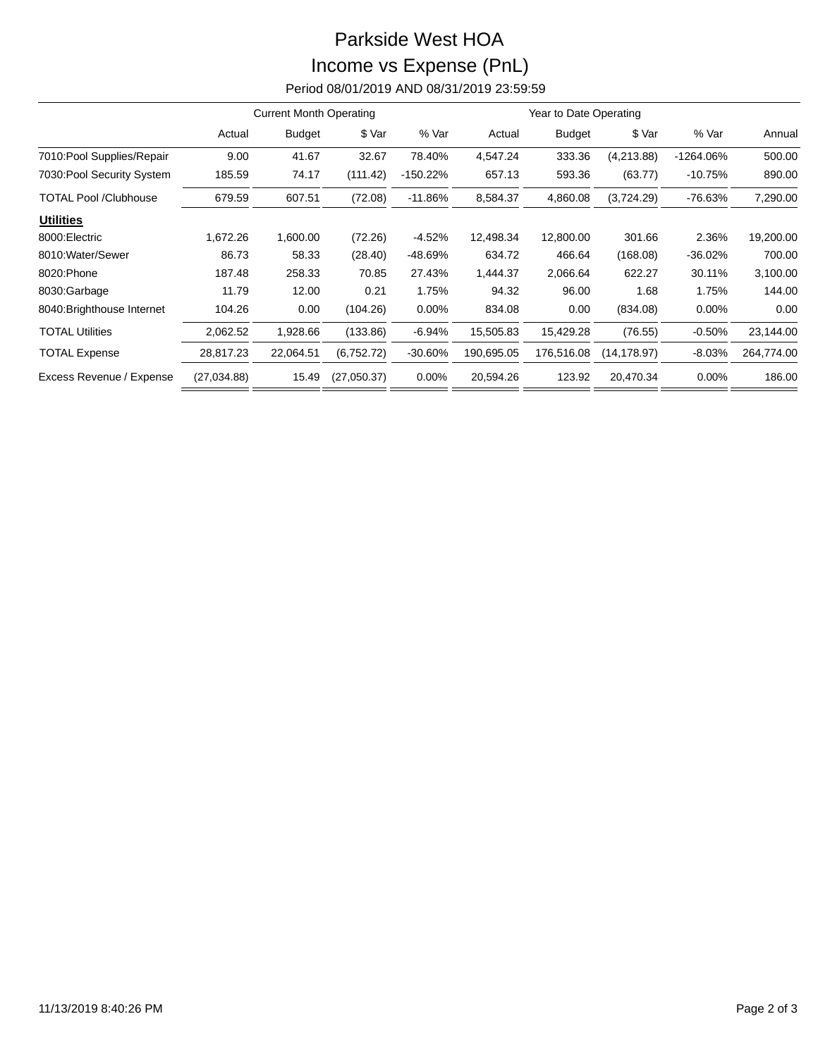## Parkside West HOA Income vs Expense (PnL) Period 08/01/2019 AND 08/31/2019 23:59:59

|                              | <b>Current Month Operating</b> |               |             |             | Year to Date Operating |               |              |             |            |
|------------------------------|--------------------------------|---------------|-------------|-------------|------------------------|---------------|--------------|-------------|------------|
|                              | Actual                         | <b>Budget</b> | \$ Var      | % Var       | Actual                 | <b>Budget</b> | \$ Var       | % Var       | Annual     |
| 7010: Pool Supplies/Repair   | 9.00                           | 41.67         | 32.67       | 78.40%      | 4,547.24               | 333.36        | (4,213.88)   | $-1264.06%$ | 500.00     |
| 7030: Pool Security System   | 185.59                         | 74.17         | (111.42)    | $-150.22\%$ | 657.13                 | 593.36        | (63.77)      | $-10.75%$   | 890.00     |
| <b>TOTAL Pool /Clubhouse</b> | 679.59                         | 607.51        | (72.08)     | $-11.86%$   | 8,584.37               | 4,860.08      | (3,724.29)   | -76.63%     | 7,290.00   |
| <b>Utilities</b>             |                                |               |             |             |                        |               |              |             |            |
| 8000: Electric               | 1,672.26                       | 1,600.00      | (72.26)     | $-4.52%$    | 12,498.34              | 12,800.00     | 301.66       | 2.36%       | 19,200.00  |
| 8010: Water/Sewer            | 86.73                          | 58.33         | (28.40)     | -48.69%     | 634.72                 | 466.64        | (168.08)     | $-36.02%$   | 700.00     |
| 8020: Phone                  | 187.48                         | 258.33        | 70.85       | 27.43%      | 1,444.37               | 2,066.64      | 622.27       | 30.11%      | 3,100.00   |
| 8030:Garbage                 | 11.79                          | 12.00         | 0.21        | 1.75%       | 94.32                  | 96.00         | 1.68         | 1.75%       | 144.00     |
| 8040: Brighthouse Internet   | 104.26                         | 0.00          | (104.26)    | $0.00\%$    | 834.08                 | 0.00          | (834.08)     | 0.00%       | 0.00       |
| <b>TOTAL Utilities</b>       | 2,062.52                       | 1,928.66      | (133.86)    | $-6.94%$    | 15,505.83              | 15,429.28     | (76.55)      | $-0.50%$    | 23,144.00  |
| <b>TOTAL Expense</b>         | 28,817.23                      | 22,064.51     | (6,752.72)  | $-30.60%$   | 190,695.05             | 176,516.08    | (14, 178.97) | $-8.03%$    | 264,774.00 |
| Excess Revenue / Expense     | (27,034.88)                    | 15.49         | (27,050.37) | 0.00%       | 20,594.26              | 123.92        | 20,470.34    | 0.00%       | 186.00     |